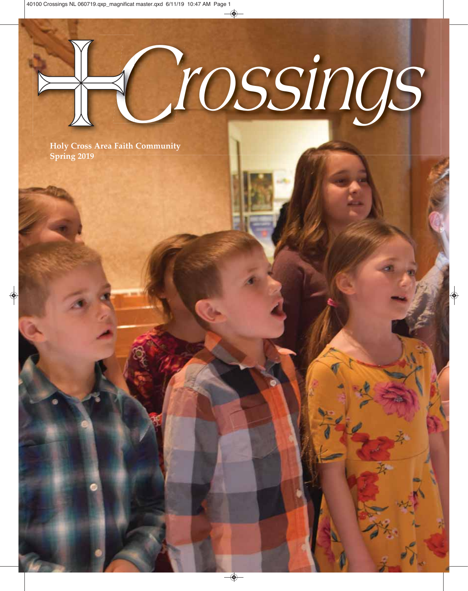# *Crossings*

**Holy Cross Area Faith Community Spring 2019**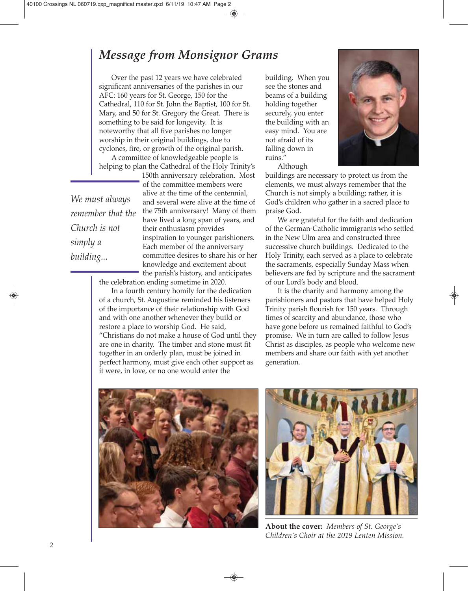## *Message from Monsignor Grams*

Over the past 12 years we have celebrated significant anniversaries of the parishes in our AFC: 160 years for St. George, 150 for the Cathedral, 110 for St. John the Baptist, 100 for St. Mary, and 50 for St. Gregory the Great. There is something to be said for longevity. It is noteworthy that all five parishes no longer worship in their original buildings, due to cyclones, fire, or growth of the original parish.

A committee of knowledgeable people is helping to plan the Cathedral of the Holy Trinity's

*We must always remember that the Church is not simply a building...*

150th anniversary celebration. Most of the committee members were alive at the time of the centennial, and several were alive at the time of the 75th anniversary! Many of them have lived a long span of years, and their enthusiasm provides inspiration to younger parishioners. Each member of the anniversary committee desires to share his or her knowledge and excitement about the parish's history, and anticipates

the celebration ending sometime in 2020.

In a fourth century homily for the dedication of a church, St. Augustine reminded his listeners of the importance of their relationship with God and with one another whenever they build or restore a place to worship God. He said, "Christians do not make a house of God until they are one in charity. The timber and stone must fit together in an orderly plan, must be joined in perfect harmony, must give each other support as it were, in love, or no one would enter the

building. When you see the stones and beams of a building holding together securely, you enter the building with an easy mind. You are not afraid of its falling down in ruins." Although



buildings are necessary to protect us from the elements, we must always remember that the Church is not simply a building; rather, it is God's children who gather in a sacred place to praise God.

We are grateful for the faith and dedication of the German-Catholic immigrants who settled in the New Ulm area and constructed three successive church buildings. Dedicated to the Holy Trinity, each served as a place to celebrate the sacraments, especially Sunday Mass when believers are fed by scripture and the sacrament of our Lord's body and blood.

It is the charity and harmony among the parishioners and pastors that have helped Holy Trinity parish flourish for 150 years. Through times of scarcity and abundance, those who have gone before us remained faithful to God's promise. We in turn are called to follow Jesus Christ as disciples, as people who welcome new members and share our faith with yet another generation.





**About the cover:** *Members of St. George's Children's Choir at the 2019 Lenten Mission.*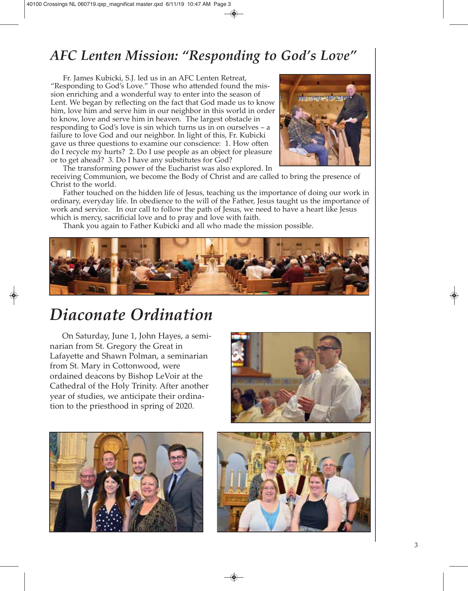# *AFC Lenten Mission: "Responding to God's Love"*

Fr. James Kubicki, S.J. led us in an AFC Lenten Retreat, "Responding to God's Love." Those who attended found the mission enriching and a wonderful way to enter into the season of Lent. We began by reflecting on the fact that God made us to know him, love him and serve him in our neighbor in this world in order to know, love and serve him in heaven. The largest obstacle in responding to God's love is sin which turns us in on ourselves – a failure to love God and our neighbor. In light of this, Fr. Kubicki gave us three questions to examine our conscience: 1. How often do I recycle my hurts? 2. Do I use people as an object for pleasure or to get ahead? 3. Do I have any substitutes for God?



The transforming power of the Eucharist was also explored. In receiving Communion, we become the Body of Christ and are called to bring the presence of Christ to the world.

Father touched on the hidden life of Jesus, teaching us the importance of doing our work in ordinary, everyday life. In obedience to the will of the Father, Jesus taught us the importance of work and service. In our call to follow the path of Jesus, we need to have a heart like Jesus which is mercy, sacrificial love and to pray and love with faith.

Thank you again to Father Kubicki and all who made the mission possible.



# *Diaconate Ordination*

On Saturday, June 1, John Hayes, a seminarian from St. Gregory the Great in Lafayette and Shawn Polman, a seminarian from St. Mary in Cottonwood, were ordained deacons by Bishop LeVoir at the Cathedral of the Holy Trinity. After another year of studies, we anticipate their ordination to the priesthood in spring of 2020.





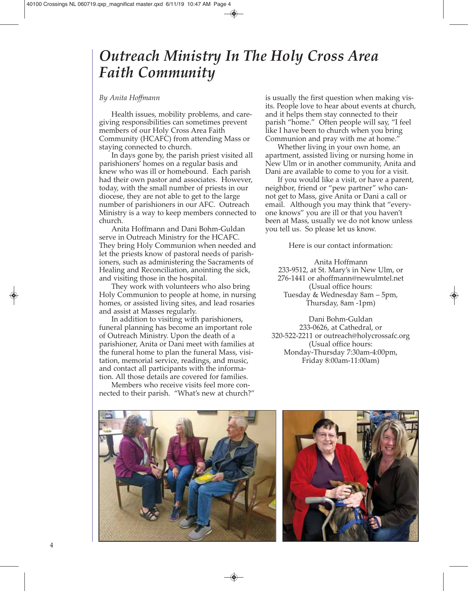# *Outreach Ministry In The Holy Cross Area Faith Community*

#### *By Anita Hoffmann*

Health issues, mobility problems, and caregiving responsibilities can sometimes prevent members of our Holy Cross Area Faith Community (HCAFC) from attending Mass or staying connected to church.

In days gone by, the parish priest visited all parishioners' homes on a regular basis and knew who was ill or homebound. Each parish had their own pastor and associates. However, today, with the small number of priests in our diocese, they are not able to get to the large number of parishioners in our AFC. Outreach Ministry is a way to keep members connected to church.

Anita Hoffmann and Dani Bohm-Guldan serve in Outreach Ministry for the HCAFC. They bring Holy Communion when needed and let the priests know of pastoral needs of parishioners, such as administering the Sacraments of Healing and Reconciliation, anointing the sick, and visiting those in the hospital.

They work with volunteers who also bring Holy Communion to people at home, in nursing homes, or assisted living sites, and lead rosaries and assist at Masses regularly.

In addition to visiting with parishioners, funeral planning has become an important role of Outreach Ministry. Upon the death of a parishioner, Anita or Dani meet with families at the funeral home to plan the funeral Mass, visitation, memorial service, readings, and music, and contact all participants with the information. All those details are covered for families.

Members who receive visits feel more connected to their parish. "What's new at church?" is usually the first question when making visits. People love to hear about events at church, and it helps them stay connected to their parish "home." Often people will say, "I feel like I have been to church when you bring Communion and pray with me at home."

Whether living in your own home, an apartment, assisted living or nursing home in New Ulm or in another community, Anita and Dani are available to come to you for a visit.

If you would like a visit, or have a parent, neighbor, friend or "pew partner" who cannot get to Mass, give Anita or Dani a call or email. Although you may think that "everyone knows" you are ill or that you haven't been at Mass, usually we do not know unless you tell us. So please let us know.

Here is our contact information:

Anita Hoffmann 233-9512, at St. Mary's in New Ulm, or 276-1441 or ahoffmann@newulmtel.net (Usual office hours: Tuesday & Wednesday 8am – 5pm, Thursday, 8am -1pm)

Dani Bohm-Guldan 233-0626, at Cathedral, or 320-522-2211 or outreach@holycrossafc.org (Usual office hours: Monday-Thursday 7:30am-4:00pm, Friday 8:00am-11:00am)



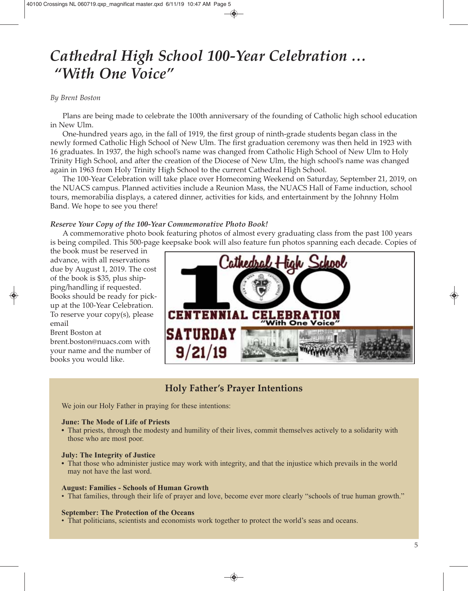# *Cathedral High School 100-Year Celebration … "With One Voice"*

#### *By Brent Boston*

Plans are being made to celebrate the 100th anniversary of the founding of Catholic high school education in New Ulm.

One-hundred years ago, in the fall of 1919, the first group of ninth-grade students began class in the newly formed Catholic High School of New Ulm. The first graduation ceremony was then held in 1923 with 16 graduates. In 1937, the high school's name was changed from Catholic High School of New Ulm to Holy Trinity High School, and after the creation of the Diocese of New Ulm, the high school's name was changed again in 1963 from Holy Trinity High School to the current Cathedral High School.

The 100-Year Celebration will take place over Homecoming Weekend on Saturday, September 21, 2019, on the NUACS campus. Planned activities include a Reunion Mass, the NUACS Hall of Fame induction, school tours, memorabilia displays, a catered dinner, activities for kids, and entertainment by the Johnny Holm Band. We hope to see you there!

#### *Reserve Your Copy of the 100-Year Commemorative Photo Book!*

A commemorative photo book featuring photos of almost every graduating class from the past 100 years is being compiled. This 500-page keepsake book will also feature fun photos spanning each decade. Copies of

the book must be reserved in advance, with all reservations due by August 1, 2019. The cost of the book is \$35, plus shipping/handling if requested. Books should be ready for pickup at the 100-Year Celebration. To reserve your copy(s), please email

Brent Boston at

brent.boston@nuacs.com with your name and the number of books you would like.



## **Holy Father's Prayer Intentions**

We join our Holy Father in praying for these intentions:

#### **June: The Mode of Life of Priests**

**•** That priests, through the modesty and humility of their lives, commit themselves actively to a solidarity with those who are most poor.

#### **July: The Integrity of Justice**

**•** That those who administer justice may work with integrity, and that the injustice which prevails in the world may not have the last word.

#### **August: Families - Schools of Human Growth**

• That families, through their life of prayer and love, become ever more clearly "schools of true human growth."

#### **September: The Protection of the Oceans**

• That politicians, scientists and economists work together to protect the world's seas and oceans.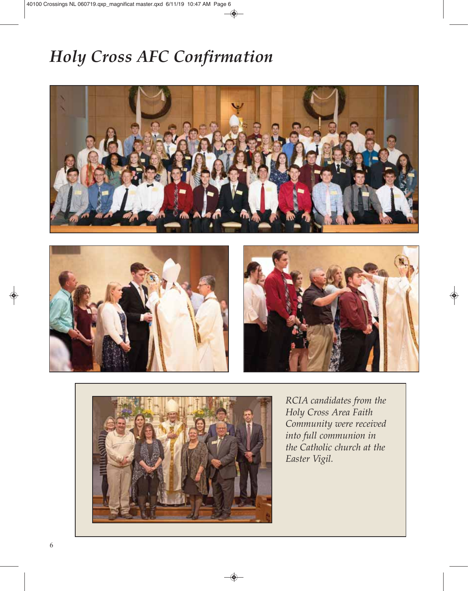# *Holy Cross AFC Confirmation*









*RCIA candidates from the Holy Cross Area Faith Community were received into full communion in the Catholic church at the Easter Vigil.*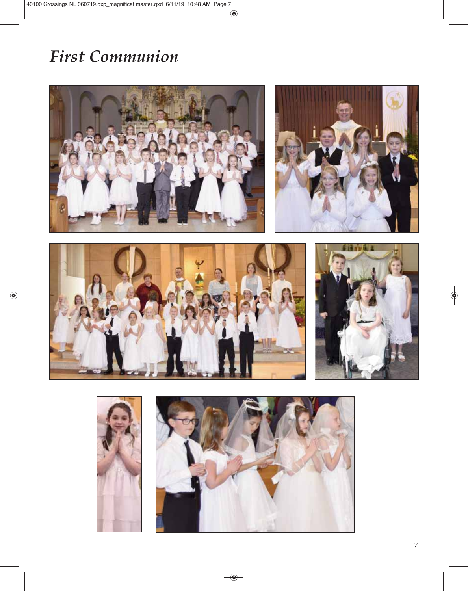# *First Communion*



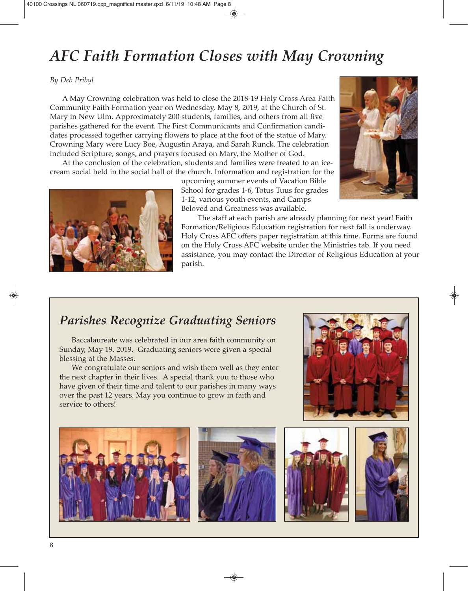# *AFC Faith Formation Closes with May Crowning*

#### *By Deb Pribyl*

A May Crowning celebration was held to close the 2018-19 Holy Cross Area Faith Community Faith Formation year on Wednesday, May 8, 2019, at the Church of St. Mary in New Ulm. Approximately 200 students, families, and others from all five parishes gathered for the event. The First Communicants and Confirmation candidates processed together carrying flowers to place at the foot of the statue of Mary. Crowning Mary were Lucy Boe, Augustin Araya, and Sarah Runck. The celebration included Scripture, songs, and prayers focused on Mary, the Mother of God.

At the conclusion of the celebration, students and families were treated to an icecream social held in the social hall of the church. Information and registration for the



upcoming summer events of Vacation Bible School for grades 1-6, Totus Tuus for grades 1-12, various youth events, and Camps Beloved and Greatness was available.



The staff at each parish are already planning for next year! Faith Formation/Religious Education registration for next fall is underway. Holy Cross AFC offers paper registration at this time. Forms are found on the Holy Cross AFC website under the Ministries tab. If you need assistance, you may contact the Director of Religious Education at your parish.

## *Parishes Recognize Graduating Seniors*

Baccalaureate was celebrated in our area faith community on Sunday, May 19, 2019. Graduating seniors were given a special blessing at the Masses.

We congratulate our seniors and wish them well as they enter the next chapter in their lives. A special thank you to those who have given of their time and talent to our parishes in many ways over the past 12 years. May you continue to grow in faith and service to others!









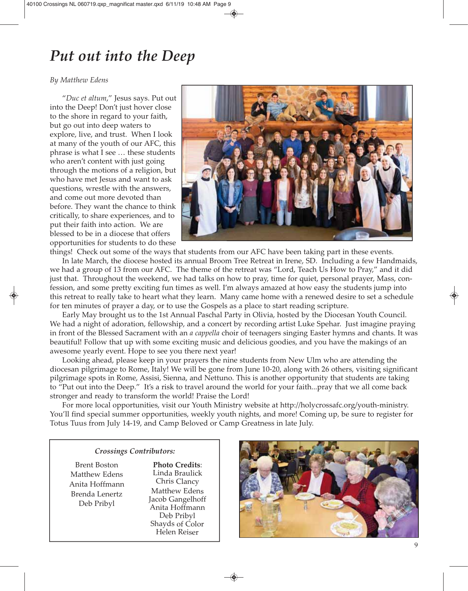# *Put out into the Deep*

#### *By Matthew Edens*

"*Duc et altum*," Jesus says. Put out into the Deep! Don't just hover close to the shore in regard to your faith, but go out into deep waters to explore, live, and trust. When I look at many of the youth of our AFC, this phrase is what I see … these students who aren't content with just going through the motions of a religion, but who have met Jesus and want to ask questions, wrestle with the answers, and come out more devoted than before. They want the chance to think critically, to share experiences, and to put their faith into action. We are blessed to be in a diocese that offers opportunities for students to do these



things! Check out some of the ways that students from our AFC have been taking part in these events. In late March, the diocese hosted its annual Broom Tree Retreat in Irene, SD. Including a few Handmaids,

we had a group of 13 from our AFC. The theme of the retreat was "Lord, Teach Us How to Pray," and it did just that. Throughout the weekend, we had talks on how to pray, time for quiet, personal prayer, Mass, confession, and some pretty exciting fun times as well. I'm always amazed at how easy the students jump into this retreat to really take to heart what they learn. Many came home with a renewed desire to set a schedule for ten minutes of prayer a day, or to use the Gospels as a place to start reading scripture.

Early May brought us to the 1st Annual Paschal Party in Olivia, hosted by the Diocesan Youth Council. We had a night of adoration, fellowship, and a concert by recording artist Luke Spehar. Just imagine praying in front of the Blessed Sacrament with an *a cappella* choir of teenagers singing Easter hymns and chants. It was beautiful! Follow that up with some exciting music and delicious goodies, and you have the makings of an awesome yearly event. Hope to see you there next year!

Looking ahead, please keep in your prayers the nine students from New Ulm who are attending the diocesan pilgrimage to Rome, Italy! We will be gone from June 10-20, along with 26 others, visiting significant pilgrimage spots in Rome, Assisi, Sienna, and Nettuno. This is another opportunity that students are taking to "Put out into the Deep." It's a risk to travel around the world for your faith...pray that we all come back stronger and ready to transform the world! Praise the Lord!

For more local opportunities, visit our Youth Ministry website at http://holycrossafc.org/youth-ministry. You'll find special summer opportunities, weekly youth nights, and more! Coming up, be sure to register for Totus Tuus from July 14-19, and Camp Beloved or Camp Greatness in late July.

#### *Crossings Contributors:*

Brent Boston Matthew Edens Anita Hoffmann Brenda Lenertz Deb Pribyl

**Photo Credits**: Linda Braulick Chris Clancy Matthew Edens Jacob Gangelhoff Anita Hoffmann Deb Pribyl Shayds of Color Helen Reiser

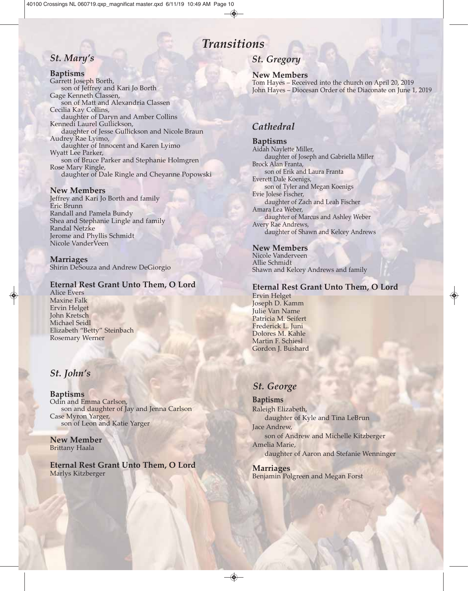## *Transitions*

## *St. Mary's*

#### **Baptisms**

Garrett Joseph Borth, son of Jeffrey and Kari Jo Borth Gage Kenneth Classen, son of Matt and Alexandria Classen Cecilia Kay Collins, daughter of Daryn and Amber Collins Kennedi Laurel Gullickson, daughter of Jesse Gullickson and Nicole Braun Audrey Rae Lyimo, daughter of Innocent and Karen Lyimo Wyatt Lee Parker, son of Bruce Parker and Stephanie Holmgren Rose Mary Ringle, daughter of Dale Ringle and Cheyanne Popowski

#### **New Members**

Jeffrey and Kari Jo Borth and family Eric Brunn Randall and Pamela Bundy Shea and Stephanie Lingle and family Randal Netzke Jerome and Phyllis Schmidt Nicole VanderVeen

**Marriages** Shirin DeSouza and Andrew DeGiorgio

#### **Eternal Rest Grant Unto Them, O Lord**

Alice Evers Maxine Falk Ervin Helget John Kretsch Michael Seidl Elizabeth "Betty" Steinbach Rosemary Werner

## *St. John's*

**Baptisms** Odin and Emma Carlson, son and daughter of Jay and Jenna Carlson Case Myron Yarger, son of Leon and Katie Yarger

**New Member** Brittany Haala

**Eternal Rest Grant Unto Them, O Lord** Marlys Kitzberger

## *St. Gregory*

**New Members** Tom Hayes – Received into the church on April 20, 2019 John Hayes – Diocesan Order of the Diaconate on June 1, 2019

## *Cathedral*

**Baptisms** Aidah Naylette Miller, daughter of Joseph and Gabriella Miller Brock Alan Franta, son of Erik and Laura Franta Everett Dale Koenigs, son of Tyler and Megan Koenigs Evie Jolese Fischer, daughter of Zach and Leah Fischer Amara Lea Weber, daughter of Marcus and Ashley Weber Avery Rae Andrews, daughter of Shawn and Kelcey Andrews

#### **New Members**

Nicole Vanderveen Allie Schmidt Shawn and Kelcey Andrews and family

#### **Eternal Rest Grant Unto Them, O Lord**

Ervin Helget Joseph D. Kamm Julie Van Name Patricia M. Seifert Frederick L. Juni Dolores M. Kahle Martin F. Schiesl Gordon J. Bushard

#### *St. George*

**Baptisms** Raleigh Elizabeth, daughter of Kyle and Tina LeBrun Jace Andrew, son of Andrew and Michelle Kitzberger Amelia Marie, daughter of Aaron and Stefanie Wenninger

**Marriages** Benjamin Polgreen and Megan Forst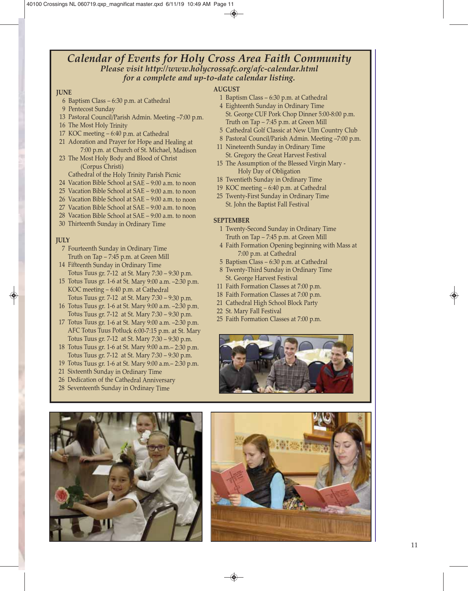#### *Calendar of Events for Holy Cross Area Faith Community Please visit http://www.holycrossafc.org/afc-calendar.html for a complete and up-to-date calendar listing.*

#### **JUNE**

- <sup>6</sup> Baptism Class 6:30 p.m. at Cathedral
- 9 Pentecost Sunday
- <sup>13</sup> Pastoral Council/Parish Admin. Meeting –7:00 p.m.
- <sup>16</sup> The Most Holy Trinity
- <sup>17</sup> KOC meeting 6:40 p.m. at Cathedral
- <sup>21</sup> Adoration and Prayer for Hope and Healing at 7:00 p.m. at Church of St. Michael, Madison
- <sup>23</sup> The Most Holy Body and Blood of Christ (Corpus Christi)
- Cathedral of the Holy Trinity Parish Picnic
- 24 Vacation Bible School at SAE 9:00 a.m. to noon
- 25 Vacation Bible School at SAE 9:00 a.m. to noon
- 26 Vacation Bible School at SAE 9:00 a.m. to noon
- 27 Vacation Bible School at SAE 9:00 a.m. to noon
- 28 Vacation Bible School at SAE 9:00 a.m. to noon
- <sup>30</sup> Thirteenth Sunday in Ordinary Time

#### **JULY**

- <sup>7</sup> Fourteenth Sunday in Ordinary Time Truth on Tap – 7:45 p.m. at Green Mill
- <sup>14</sup> Fifteenth Sunday in Ordinary Time Totus Tuus gr. 7-12 at St. Mary 7:30 – 9:30 p.m.
- <sup>15</sup> Totus Tuus gr. 1-6 at St. Mary 9:00 a.m. –2:30 p.m. KOC meeting – 6:40 p.m. at Cathedral Totus Tuus gr. 7-12 at St. Mary 7:30 – 9:30 p.m.
- <sup>16</sup> Totus Tuus gr. 1-6 at St. Mary 9:00 a.m. –2:30 p.m. Totus Tuus gr. 7-12 at St. Mary 7:30 – 9:30 p.m.
- <sup>17</sup> Totus Tuus gr. 1-6 at St. Mary 9:00 a.m. –2:30 p.m. AFC Totus Tuus Potluck 6:00-7:15 p.m. at St. Mary Totus Tuus gr. 7-12 at St. Mary 7:30 – 9:30 p.m.
- <sup>18</sup> Totus Tuus gr. 1-6 at St. Mary 9:00 a.m.– 2:30 p.m. Totus Tuus gr. 7-12 at St. Mary 7:30 – 9:30 p.m.
- <sup>19</sup> Totus Tuus gr. 1-6 at St. Mary 9:00 a.m.– 2:30 p.m.
- <sup>21</sup> Sixteenth Sunday in Ordinary Time
- <sup>26</sup> Dedication of the Cathedral Anniversary
- <sup>28</sup> Seventeenth Sunday in Ordinary Time



#### **AUGUST**

- 1 Baptism Class 6:30 p.m. at Cathedral
- 4 Eighteenth Sunday in Ordinary Time St. George CUF Pork Chop Dinner 5:00-8:00 p.m. Truth on Tap – 7:45 p.m. at Green Mill
- 5 Cathedral Golf Classic at New Ulm Country Club
- 8 Pastoral Council/Parish Admin. Meeting –7:00 p.m.
- 11 Nineteenth Sunday in Ordinary Time St. Gregory the Great Harvest Festival
- 15 The Assumption of the Blessed Virgin Mary Holy Day of Obligation
- 18 Twentieth Sunday in Ordinary Time
- 19 KOC meeting 6:40 p.m. at Cathedral
- 25 Twenty-First Sunday in Ordinary Time St. John the Baptist Fall Festival

#### **SEPTEMBER**

- 1 Twenty-Second Sunday in Ordinary Time Truth on Tap – 7:45 p.m. at Green Mill
- 4 Faith Formation Opening beginning with Mass at 7:00 p.m. at Cathedral
- 5 Baptism Class 6:30 p.m. at Cathedral
- 8 Twenty-Third Sunday in Ordinary Time St. George Harvest Festival
- 11 Faith Formation Classes at 7:00 p.m.
- 18 Faith Formation Classes at 7:00 p.m.
- 21 Cathedral High School Block Party
- 22 St. Mary Fall Festival
- 25 Faith Formation Classes at 7:00 p.m.